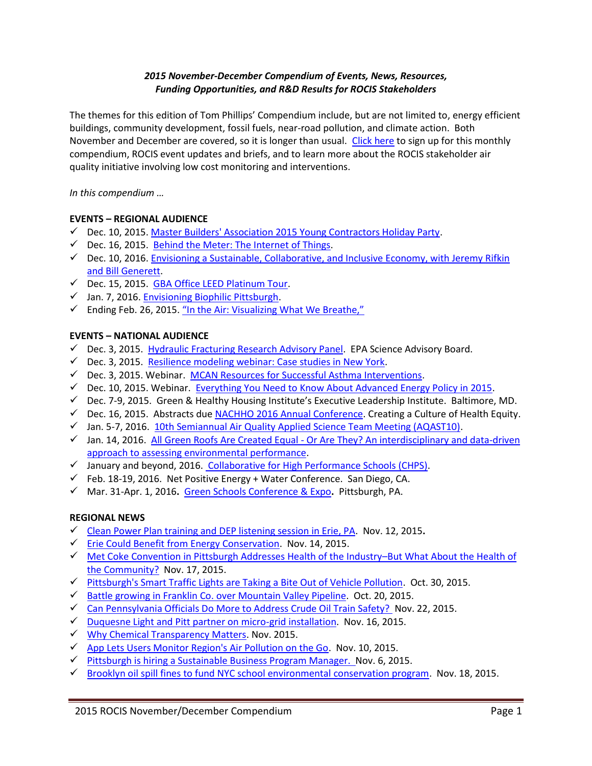## *2015 November-December Compendium of Events, News, Resources, Funding Opportunities, and R&D Results for ROCIS Stakeholders*

The themes for this edition of Tom Phillips' Compendium include, but are not limited to, energy efficient buildings, community development, fossil fuels, near-road pollution, and climate action. Both November and December are covered, so it is longer than usual. [Click here](http://www.rocis.org/rocis-sign) to sign up for this monthly compendium, ROCIS event updates and briefs, and to learn more about the ROCIS stakeholder air quality initiative involving low cost monitoring and interventions.

*In this compendium …* 

## **EVENTS – REGIONAL AUDIENCE**

- $\checkmark$  Dec. 10, 2015. [Master Builders' Association 2015 Young Contractors Holiday Party.](http://greenbuildingalliance.cmail19.com/t/r-l-zutkhit-irltfiltt-tk/)
- $\checkmark$  Dec. 16, 2015. [Behind the Meter: The Internet of Things.](https://www.go-gba.org/event/behind-the-meter-what-the-internet-of-things-means-for-your-building-2/)
- $\checkmark$  Dec. 10, 2016. Envisioning a Sustainable, Collaborative, and Inclusive Economy, with Jeremy Rifkin [and Bill Generett.](https://www.go-gba.org/event/inspire-speakers-series-and-p4-pittsburgh-present-jeremy-rifkin-and-bill-generett/)
- $\checkmark$  Dec. 15, 2015. [GBA Office LEED Platinum Tour.](https://www.go-gba.org/events/gba-office-tour-11/?utm_medium=email&utm_campaign=December+1+2015+newsletter&utm_content=December+1+2015+newsletter+CID_ab0bc2a0dd5a5c88cb64f323f21c92f6&utm_source=GBA%20Newsletter&utm_term=Learn%20more%20and%20register)
- $\checkmark$  Jan. 7, 2016. [Envisioning Biophilic Pittsburgh.](https://phipps.conservatory.org/green-innovation/in-the-community/biophilia-network)
- $\checkmark$  Ending Feb. 26, 2015. ["In the Air: Visualizing What We Breathe,"](http://filmmakers.pfpca.org/exhibitions/air-visualizing-what-we-breathe)

### **EVENTS – NATIONAL AUDIENCE**

- $\checkmark$  Dec. 3, 2015. [Hydraulic Fracturing Research Advisory Panel.](http://yosemite.epa.gov/sab/sabproduct.nsf/a84bfee16cc358ad85256ccd006b0b4b/9ec89b6d7a63d7e385257ef10074acb6!OpenDocument&Date=2015-12-03) EPA Science Advisory Board.
- $\checkmark$  Dec. 3, 2015. [Resilience modeling webinar: Case studies in New York.](http://www.phius.org/alliance/news-events/national-events-calendar?url=http://passivehouseallianceus.camp7.org/widget/event-2091767)
- $\checkmark$  Dec. 3, 2015. Webinar. [MCAN Resources for Successful Asthma Interventions.](http://www.rampasthma.org/archives/13660)
- $\checkmark$  Dec. 10, 2015. Webinar. [Everything You Need to Know About Advanced Energy Policy in 2015.](http://greenbuildingalliance.cmail19.com/t/r-l-zutkhit-irltfiltt-tu/)
- $\checkmark$  Dec. 7-9, 2015. Green & Healthy Housing Institute's Executive Leadership Institute. Baltimore, MD.
- $\checkmark$  Dec. 16, 2015. Abstracts due [NACHHO 2016 Annual Conference.](http://www.nacchoannual.org/) Creating a Culture of Health Equity.
- $\checkmark$  Jan. 5-7, 2016. [10th Semiannual Air Quality Applied Science Team Meeting \(AQAST10\).](http://acmg.seas.harvard.edu/aqast/meetings/2016_jan/program.html)
- $\checkmark$  Jan. 14, 2016. All Green Roofs Are Created Equal Or Are They? An interdisciplinary and data-driven [approach to assessing environmental performance.](file:///C:/Users/lwigington/Documents/00_TPF_Outdoor%20Pollutants/2015%20Email%20Blasts/an.%2014,%202016,%20Toronto,%20Canada.%20Â All%20Green%20Roofs%20Are%20Created%20Equal%20-%20Or%20Are%20They)
- $\checkmark$  January and beyond, 2016[. Collaborative for High Performance Schools \(CHPS\).](http://www.chps.net/dev/Drupal/calendar)
- $\checkmark$  Feb. 18-19, 2016. Net Positive Energy + Water Conference. San Diego, CA.
- Mar. 31-Apr. 1, 2016**.** [Green Schools Conference & Expo](file:///C:/Users/lwigington/Documents/00_TPF_Outdoor%20Pollutants/2015%20Email%20Blasts/Green%20Schools%20Conference%20&%20Expo%20Thursday,%20March%2031,%202016%20(All%20day)%20-%20Friday,%20April%201,%202016%20(All%20day)%20%20March%2031-April%201,%202016%20Pittsburgh,%20PA)**.** Pittsburgh, PA.

### **REGIONAL NEWS**

- [Clean Power Plan training and DEP listening session in Erie, PA.](http://pfclimate.blogspot.com/2015/11/spotlight-erie-pa-clean-power-plan.html) Nov. 12, 2015**.**
- $\checkmark$  [Erie Could Benefit from Energy Conservation.](http://www.goerie.com/erie-could-benefit-from-energy-conservation-guy-mcumber) Nov. 14, 2015.
- [Met Coke Convention in Pittsburgh Addresses Health of the Industry](http://gasp-pgh.org/2015/11/13/met-coke-convention-in-pittsburgh-addresses-health-of-the-industry-but-what-about-the-health-of-the-community/)–But What About the Health of [the Community?](http://gasp-pgh.org/2015/11/13/met-coke-convention-in-pittsburgh-addresses-health-of-the-industry-but-what-about-the-health-of-the-community/) Nov. 17, 2015.
- ← [Pittsburgh's Smart Traffic Lights are Taking a Bite Out of Vehicle Pollution.](http://alleghenyfront.org/story/pittsburgh%E2%80%99s-smart-traffic-lights-are-taking-bite-out-vehicle-pollution) Oct. 30, 2015.
- $\checkmark$  [Battle growing in Franklin Co. over Mountain Valley Pipeline.](http://www.wdbj7.com/video/battle-growing-in-franklin-co-over-mountain-valley-pipeline/35949432) Oct. 20, 2015.
- $\checkmark$  [Can Pennsylvania Officials Do More to Address Crude Oil Train Safety?](http://alleghenyfront.org/story/can-pennsylvania-officials-do-more-address-crude-oil-train-safety) Nov. 22, 2015.
- $\checkmark$  [Duquesne Light and Pitt partner on micro-grid installation.](http://www.bizjournals.com/pittsburgh/news/2015/11/16/duquesne-light-pitt-partner-on-micro-grid.html?ana=e_du_pub&s=article_du&ed=2015-11-16&u=a06L9etr7RcK8rYcf94yvQ0d740eb4&t=1447705608) Nov. 16, 2015.
- [Why Chemical Transparency Matters.](https://www2.buildinggreen.com/article/why-chemical-transparency-matters) Nov. 2015.
- $\checkmark$  [App Lets Users Monitor Region's Air Pollution on the Go.](http://www.nextpittsburgh.com/city-design/creators-of-the-specksensor-app-want-pittsburgh-to-breathe-easier/) Nov. 10, 2015.
- $\checkmark$  [Pittsburgh is hiring a Sustainable Business Program Manager.](http://sustainablepittsburgh.org/Pub/Job%20Description%20-%20Sustainable%20Business%20Program%20Manager%20-%20Sustainable%20Pittsburgh.pdf) Nov. 6, 2015.
- [Brooklyn oil spill fines to fund NYC school environmental conservation program.](file:///C:/Users/lwigington/Documents/00_TPF_Outdoor%20Pollutants/2015%20Email%20Blasts/Brooklyn%20oil%20spill%20fines%20to%20fund%20NYC%20school%20environmental%20conservation%20program)Nov. 18, 2015.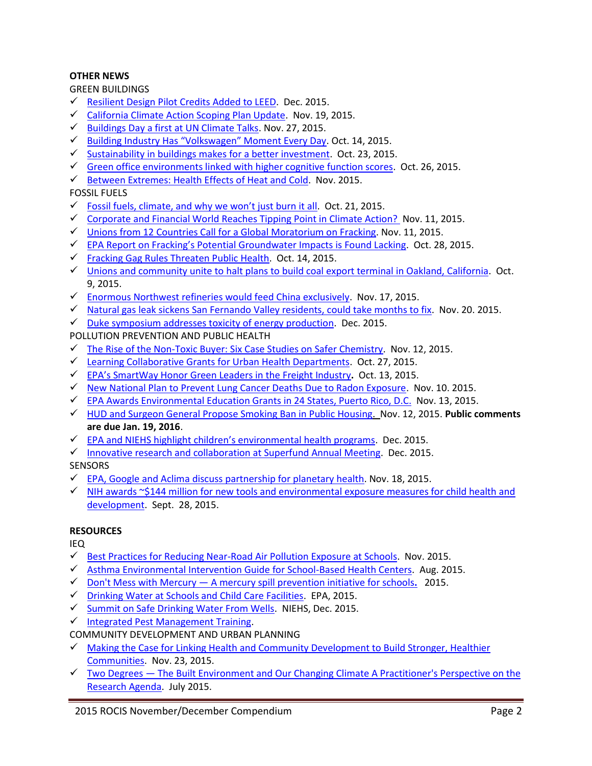# **OTHER NEWS**

GREEN BUILDINGS

- $\checkmark$  [Resilient Design Pilot Credits Added to LEED.](https://www2.buildinggreen.com/article/resilient-design-pilot-credits-added-leed) Dec. 2015.
- $\checkmark$  [California Climate Action Scoping Plan Update.](http://www.arb.ca.gov/board/books/2015/111915/15-9-5pres.pdf) Nov. 19, 2015.
- $\checkmark$  [Buildings Day a first at UN Climate Talks.](http://www.gbpn.org/china/newsroom/event-buildings-day-be-held-cop21-paris) Nov. 27, 2015.
- $\checkmark$  [Building Industry Has "Volkswagen" Moment Every Day](http://www.gbpn.org/our-blog/building-sector%E2%80%99s-continuous-%E2%80%98volkswagen%E2%80%99-moment). Oct. 14, 2015.
- $\checkmark$  [Sustainability in buildings makes for a better investment.](http://m.propertyweek.com/in-depth/analysis-features/sustainability-in-buildings-makes-for-a-better-investment/5077368.article) Oct. 23, 2015.
- $\checkmark$  [Green office environments linked with higher cognitive function scores.](http://www.sciencedaily.com/releases/2015/10/151026171409.htm) Oct. 26, 2015.
- $\checkmark$  [Between Extremes: Health Effects of Heat and Cold.](http://ehp.niehs.nih.gov/123-A275/) Nov. 2015.

## FOSSIL FUELS

- $\checkmark$  [Fossil fuels, climate, and why we won't just burn it all](http://hammerandhand.com/field-notes/fossil-fuels-climate-and-why-we-wont-just-burn-it-all/?mc_cid=d16ed2105d&mc_eid=ab9858fd20). Oct. 21, 2015.
- [Corporate and Financial World Reaches Tipping Point in Climate Action?](http://www.greenbiz.com/article/tipping-point-business-action-moves-past-climate-list) Nov. 11, 2015.
- $\checkmark$  [Unions from 12 Countries Call for a Global Moratorium on Fracking.](http://unionsforenergydemocracy.org/unions-from-12-countries-call-for-a-global-moratorium-on-fracking/) Nov. 11, 2015.
- $\checkmark$  [EPA Report on Fracking's Potential Groundwater Impacts is Found Lacking](http://cleanwateraction.org/publication/statement-us-epa-sab-panel-review-draft-potential-impacts-hydraulic-fracturing-oil-and-g). Oct. 28, 2015.
- $\checkmark$  [Fracking Gag Rules Threaten Public Health.](http://switchboard.nrdc.org/blogs/mrotkinellman/toxic_secrets_new_report_shows_3.html) Oct. 14, 2015.
- $\checkmark$  [Unions and community unite to halt plans to build coal export terminal in Oakland, California.](http://unionsforenergydemocracy.org/unprecedented-unions-and-community-unite-to-halt-plans-to-build-coal-export-terminal-in-oakland-california/) Oct. 9, 2015.
- [Enormous Northwest refineries would feed China exclusively.](http://www.eenews.net/stories/1060028071) Nov. 17, 2015.
- $\checkmark$  [Natural gas leak sickens San Fernando Valley residents, could take months to fix.](http://www.latimes.com/local/california/la-me-1121-gas-leak-20151121-story.html) Nov. 20. 2015.
- $\checkmark$  [Duke symposium addresses toxicity of energy production.](http://www.niehs.nih.gov/news/newsletter/2015/12/spotlight-power/index.htm) Dec. 2015.
- POLLUTION PREVENTION AND PUBLIC HEALTH
- $\checkmark$  [The Rise of the Non-Toxic Buyer: Six Case Studies on Safer Chemistry.](http://www.greenbiz.com/article/rise-non-toxic-buyer-6-case-studies-safer-chemistry) Nov. 12, 2015.
- [Learning Collaborative Grants for Urban Health Departments.](http://www.phi.org/news-events/838/phis-center-for-climate-change-and-health-announces-learning-collaborative-for-urban-health-departments?utm_source=PHI+Newsletter&utm_campaign=72b0c57b73-Nov_2015_external_newsletter&utm_medium=email&utm_term=0_14767b3be6-72b0c57b73-23389233) Oct. 27, 2015.
- [EPA's SmartWay Honor](http://yosemite.epa.gov/opa/admpress.nsf/bd4379a92ceceeac8525735900400c27/c67bb07fbf81d12785257edd00626381%21OpenDocument) Green Leaders in the Freight Industry**.** Oct. 13, 2015.
- $\checkmark$  [New National Plan to Prevent Lung Cancer Deaths Due to Radon Exposure.](http://yosemite.epa.gov/opa/admpress.nsf/bd4379a92ceceeac8525735900400c27/ed446d1cb1bed80685257ef90055f556%21OpenDocument) Nov. 10. 2015.
- $\checkmark$  [EPA Awards Environmental Education Grants in 24 States, Puerto Rico, D.C.](http://yosemite.epa.gov/opa/admpress.nsf/bd4379a92ceceeac8525735900400c27/814b99dbeee69f2085257ef90059624e%21OpenDocument) Nov. 13, 2015.
- [HUD and Surgeon General Propose Smoking Ban in Public Housing.](https://www.washingtonpost.com/news/federal-eye/wp/2015/11/12/hud-proposes-smoking-ban-in-public-housing-citing-dangers-of-secondhand-smoke/) Nov. 12, 2015. **Public comments are due Jan. 19, 2016**.
- $\checkmark$  [EPA and NIEHS highlight children's environmental health programs](http://www.niehs.nih.gov/news/newsletter/2015/12/spotlight-children/index.htm). Dec. 2015.
- $\checkmark$  [Innovative research and collaboration at Superfund Annual Meeting.](http://www.niehs.nih.gov/news/newsletter/2015/12/spotlight-srp/index.htm) Dec. 2015.
- **SENSORS**
- $\checkmark$  [EPA, Google and Aclima discuss partnership for planetary health.](http://aclima.io/blog/posts/aclima-google-and-the-epa-discuss-their-partnership-for-planetary-health/) Nov. 18, 2015.
- $\checkmark$  NIH awards ~\$144 million for new tools and environmental exposure measures for child health and [development.](http://www.nih.gov/news-events/news-releases/nih-awards-144-million-research-environmental-influences-child-health-development) Sept. 28, 2015.

### **RESOURCES**

IEQ

- $\checkmark$  [Best Practices for Reducing Near-Road Air Pollution Exposure at Schools.](http://epaschools-stage.icfwebservices.com/guidelinestools/best-practices.html) Nov. 2015.
- $\checkmark$  [Asthma Environmental Intervention Guide for School-Based Health Centers.](http://scgcorp.us11.list-manage.com/track/click?u=3e74a2e826c353dfd8c723807&id=ffc4182ac7&e=4ff2f19cc5) Aug. 2015.
- Don't Mess with Mercury [A mercury spill prevention initiative for schools](http://www.atsdr.cdc.gov/dontmesswithmercury/index.html)**.** 2015.
- [Drinking Water at Schools and Child Care Facilities.](http://www2.epa.gov/dwreginfo/drinking-water-schools-and-child-care-facilities) EPA, 2015.
- $\checkmark$  [Summit on Safe Drinking Water From Wells.](http://www.niehs.nih.gov/news/newsletter/2015/12/spotlight-water/index.htm) NIEHS, Dec. 2015.
- $\checkmark$  [Integrated Pest Management Training.](http://www.stoppests.org/about-us/participating-housing-providers/)
- COMMUNITY DEVELOPMENT AND URBAN PLANNING
- $\checkmark$  Making the Case for Linking Health and Community Development to Build Stronger, Healthier [Communities.](file:///C:/Users/lwigington/Documents/00_TPF_Outdoor%20Pollutants/2015%20Email%20Blasts/Making%20the%20Case%20summarizes%20recent%20research%20and%20policy,%20provides%20an%20array%20of%20promising%20current%20and%20recent%20examples%20of%20collaborative%20initiatives,%20and%20explores%20barriers%20to%20such%20efforts%20as%20well%20as%20lessons%20learned%20about%20how%20to%20overcome%20them.) Nov. 23, 2015.
- $\checkmark$  Two Degrees  $-$  The Built Environment and Our Changing Climate A Practitioner's Perspective on the [Research Agenda.](http://eetd.lbl.gov/video/60117/eta-distinguished-lecture-two-degrees-) July 2015.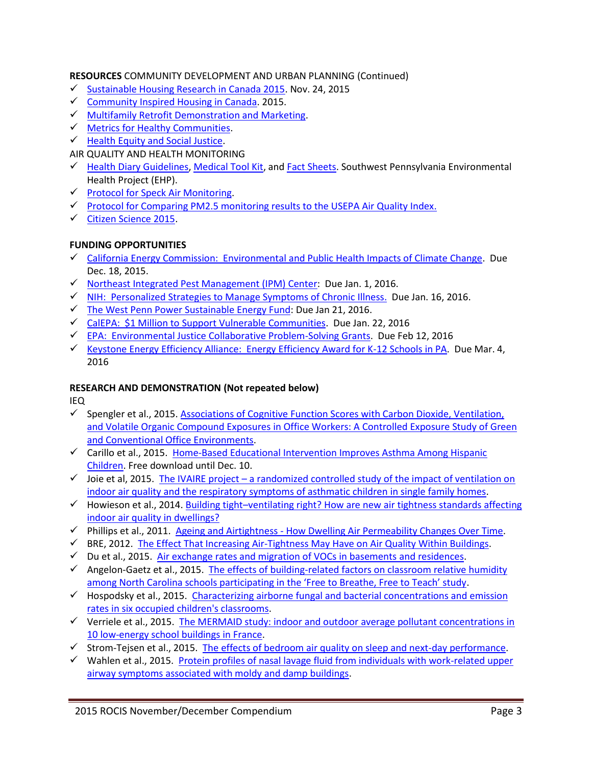# **RESOURCES** COMMUNITY DEVELOPMENT AND URBAN PLANNING (Continued)

- $\checkmark$  [Sustainable Housing Research in Canada 2015.](http://www1.webcastcanada.ca/nhrc-cnrl/agenda-eng.pdf) Nov. 24, 2015
- $\checkmark$  [Community Inspired Housing in Canada.](http://www.loeuf.com/wp-content/uploads/2014/09/CommunityHousingCanada-lowres.pdf) 2015.
- $\checkmark$  [Multifamily Retrofit Demonstration and Marketing.](http://www.beem-up.eu/index.php)
- $\checkmark$  [Metrics for Healthy Communities.](http://metricsforhealthycommunities.org/)
- $\checkmark$  [Health Equity and Social Justice.](http://naccho.org/topics/justice/)

# AIR QUALITY AND HEALTH MONITORING

- ← [Health Diary Guidelines,](http://www.environmentalhealthproject.org/health/health-diary/) [Medical Tool Kit,](http://www.environmentalhealthproject.org/resources/medical-resources/) and [Fact Sheets.](http://www.environmentalhealthproject.org/resources/handouts-and-factsheets/) Southwest Pennsylvania Environmental Health Project (EHP).
- $\checkmark$  [Protocol for Speck Air Monitoring.](http://www.environmentalhealthproject.org/wp-content/uploads/2015/06/Protocol-for-Speck-monitoring.pdf)
- $\checkmark$  [Protocol for Comparing PM2.5 monitoring results to the USEPA Air Quality Index.](http://www.environmentalhealthproject.org/wp-content/uploads/2015/07/AQI-protocol-doc.7.24.2015.pdf)
- [Citizen Science 2015.](https://citizenscienceassociation.files.wordpress.com/2015/02/program-cs2015-day12-8feb15.pdf)

# **FUNDING OPPORTUNITIES**

- $\checkmark$  [California Energy Commission: Environmental and Public Health Impacts of Climate Change.](http://www.energy.ca.gov/contracts/GFO-15-309/) Due Dec. 18, 2015.
- $\checkmark$  [Northeast Integrated Pest Management \(IPM\) Center:](http://www.northeastipm.org/grant-programs/ipm-center-grants/ipm-partnership-grants/) Due Jan. 1, 2016.
- $\checkmark$  [NIH: Personalized Strategies to Manage Symptoms of Chronic Illness.](http://click.icptrack.com/icp/relay.php?r=51461836&msgid=629353&act=YX97&c=575009&destination=http%3A%2F%2Fwww.rampasthma.org%2Farchives%2F13624) Due Jan. 16, 2016.
- $\checkmark$  [The West Penn Power Sustainable Energy Fund:](http://wppsef.org/) Due Jan 21, 2016.
- $\checkmark$  [CalEPA: \\$1 Million to Support Vulnerable Communities.](http://www.rampasthma.org/archives/13626) Due Jan. 22, 2016
- $\checkmark$  [EPA: Environmental Justice Collaborative Problem-Solving Grants.](http://www.grants.gov/web/grants/search-grants.html?keywords=EPA-OECA-OEJ-16-01) Due Feb 12, 2016
- [Keystone Energy Efficiency Alliance: Energy Efficiency Award for K-12 Schools in PA.](http://energywisepa.org/schools-award) Due Mar. 4, 2016

# **RESEARCH AND DEMONSTRATION (Not repeated below)**

IEQ

- $\checkmark$  Spengler et al., 2015. Associations of Cognitive Function Scores with Carbon Dioxide, Ventilation, [and Volatile Organic Compound Exposures in Office Workers: A Controlled Exposure Study of Green](http://ehp.niehs.nih.gov/15-10037/)  [and Conventional Office](http://ehp.niehs.nih.gov/15-10037/) Environments.
- $\checkmark$  Carillo et al., 2015. Home-Based Educational Intervention Improves Asthma Among Hispanic [Children.](http://www.liebertpub.com/global/pressrelease/home-based-educational-intervention-improves-asthma-among-hispanic-children/1761/) Free download until Dec. 10.
- $\checkmark$  Joie et al, 2015. The IVAIRE project a randomized controlled study of the impact of ventilation on [indoor air quality and the respiratory symptoms of asthmatic children in single family homes.](http://onlinelibrary.wiley.com/doi/10.1111/ina.12181/abstract?campaign=woletoc)
- $\checkmark$  Howieson et al., 2014. Building tight–ventilating right? How are new air tightness standards affecting [indoor air quality in dwellings?](http://bse.sagepub.com/content/35/5/475)
- $\checkmark$  Phillips et al., 2011. Ageing and Airtightness [How Dwelling Air Permeability Changes Over Time.](http://www.nhbcfoundation.org/Publications/Primary-Research/Ageing-and-airtightness-NF24)
- $\checkmark$  BRE, 2012. [The Effect That Increasing Air-Tightness May Have on Air Quality Within Buildings.](http://www.gov.scot/Resource/0040/00402329.pdf)
- $\checkmark$  Du et al., 2015. [Air exchange rates and migration of VOCs in basements and residences.](http://onlinelibrary.wiley.com/doi/10.1111/ina.12178/full)
- $\checkmark$  Angelon-Gaetz et al., 2015. The effects of building-related factors on classroom relative humidity [among North Carolina schools participating in the 'Free to Breathe, Free to Teach' study](http://onlinelibrary.wiley.com/doi/10.1111/ina.12176/full).
- $\checkmark$  Hospodsky et al., 2015. Characterizing airborne fungal and bacterial concentrations and emission [rates in six occupied children's classrooms.](http://onlinelibrary.wiley.com/doi/10.1111/ina.12172/full)
- $\checkmark$  Verriele et al., 2015. The MERMAID study: indoor and outdoor average pollutant concentrations in [10 low-energy school buildings in France.](http://onlinelibrary.wiley.com/doi/10.1111/ina.12258/full)
- $\checkmark$  Strom-Tejsen et al., 2015. [The effects of bedroom air quality on sleep and next-day performance.](http://onlinelibrary.wiley.com/doi/10.1111/ina.12254/full)
- $\checkmark$  Wahlen et al., 2015. Protein profiles of nasal lavage fluid from individuals with work-related upper [airway symptoms associated with moldy and damp buildings.](http://onlinelibrary.wiley.com/doi/10.1111/ina.12257/full)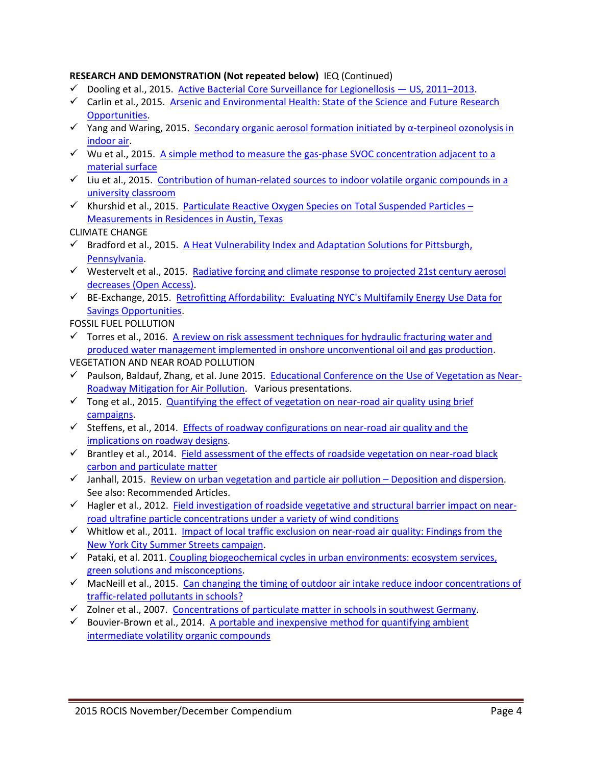## **RESEARCH AND DEMONSTRATION (Not repeated below)** IEQ (Continued)

- $\checkmark$  Dooling et al., 2015. [Active Bacterial Core Surveillance for Legionellosis](http://www.cdc.gov/mmwr/preview/mmwrhtml/mm6442a2.htm?s_cid=mm6442a2_e)  $-$  US, 2011–2013.
- $\checkmark$  Carlin et al., 2015. Arsenic and Environmental Health: State of the Science and Future Research [Opportunities.](http://ehp.niehs.nih.gov/15-10209/)
- $\checkmark$  Yang and Waring, 2015. [Secondary organic aerosol formation initiated by α](http://onlinelibrary.wiley.com/doi/10.1111/ina.12271/abstract?campaign=wolacceptedarticle)-terpineol ozonolysis in [indoor](http://onlinelibrary.wiley.com/doi/10.1111/ina.12271/abstract?campaign=wolacceptedarticle) air.
- $\checkmark$  Wu et al., 2015. A simple method to measure the gas-phase SVOC concentration adjacent to a [material surface](http://onlinelibrary.wiley.com/doi/10.1111/ina.12270/abstract?campaign=wolacceptedarticle)
- $\checkmark$  Liu et al., 2015. Contribution of human-related sources to indoor volatile organic compounds in a [university classroom](http://onlinelibrary.wiley.com/doi/10.1111/ina.12272/abstract?campaign=wolacceptedarticle)
- Khurshid et al., 2015. [Particulate Reactive Oxygen Species on Total Suspended Particles](http://onlinelibrary.wiley.com/doi/10.1111/ina.12269/abstract?campaign=wolacceptedarticle)  [Measurements in Residences in Austin, Texas](http://onlinelibrary.wiley.com/doi/10.1111/ina.12269/abstract?campaign=wolacceptedarticle)

CLIMATE CHANGE

- $\checkmark$  Bradford et al., 2015. A Heat Vulnerability Index and Adaptation Solutions for Pittsburgh, [Pennsylvania.](http://www.ncbi.nlm.nih.gov/pubmed/26333158)
- $\checkmark$  Westervelt et al., 2015. Radiative forcing and climate response to projected 21st century aerosol [decreases \(Open Access\).](http://www.atmos-chem-phys.net/15/12681/2015/acp-15-12681-2015.pdf)
- BE-Exchange, 2015. [Retrofitting Affordability: Evaluating NYC's Multifamily Energy Use Data for](http://be-exchange.org/resources/project/49)  [Savings Opportunities.](http://be-exchange.org/resources/project/49)

FOSSIL FUEL POLLUTION

 $\checkmark$  Torres et al., 2016. A review on risk assessment techniques for hydraulic fracturing water and [produced water management implemented in onshore unconventional oil and gas production.](http://www.ncbi.nlm.nih.gov/pubmed/26386446)

VEGETATION AND NEAR ROAD POLLUTION

- Paulson, Baldauf, Zhang, et al. June 2015. [Educational Conference on the Use of Vegetation as Near-](http://www.sacbreathe.org/PDF%20Downloads/VegetationConf2015_Day1.pdf)[Roadway Mitigation for Air Pollution.](http://www.sacbreathe.org/PDF%20Downloads/VegetationConf2015_Day1.pdf) Various presentations.
- $\checkmark$  Tong et al., 2015. [Quantifying the effect of vegetation on near-road](http://www.ncbi.nlm.nih.gov/pubmed/25797683) air quality using brief [campaigns.](http://www.ncbi.nlm.nih.gov/pubmed/25797683)
- $\checkmark$  Steffens, et al., 2014. Effects of roadway configurations on near-road air quality and the [implications on roadway designs.](http://www.sciencedirect.com/science/article/pii/S1352231014003628)
- $\checkmark$  Brantley et al., 2014. Field assessment of the effects of roadside vegetation on near-road black [carbon and particulate matter](http://www.sciencedirect.com/science/article/pii/S0048969713009145)
- $\checkmark$  Janhall, 2015. [Review on urban vegetation and particle air pollution](http://www.sciencedirect.com/science/article/pii/S1352231015000758)  Deposition and dispersion. See also: Recommended Articles.
- $\checkmark$  Hagler et al., 2012. [Field investigation of roadside vegetative and structural barrier impact on near](http://www.ncbi.nlm.nih.gov/pubmed/22281040)[road ultrafine particle concentrations under a variety of wind conditions](http://www.ncbi.nlm.nih.gov/pubmed/22281040)
- $\checkmark$  Whitlow et al., 2011. [Impact of local traffic exclusion on near-road air](http://www.ncbi.nlm.nih.gov/pubmed/21429643) quality: Findings from the [New York City Summer Streets campaign.](http://www.ncbi.nlm.nih.gov/pubmed/21429643)
- $\checkmark$  Pataki, et al. 2011. [Coupling biogeochemical cycles in urban environments: ecosystem](http://www.esajournals.org/action/showCitFormats?doi=10.1890%2F090220) services, green solutions [and misconceptions.](http://www.esajournals.org/action/showCitFormats?doi=10.1890%2F090220)
- $\checkmark$  MacNeill et al., 2015. Can changing the timing of outdoor air intake reduce indoor concentrations of [traffic-related pollutants in schools?](http://onlinelibrary.wiley.com/doi/10.1111/ina.12252/full)
- $\checkmark$  Zolner et al., 2007. [Concentrations of particulate matter in schools in southwest Germany.](http://www.ncbi.nlm.nih.gov/pubmed/17886073)
- $\checkmark$  Bouvier-Brown et al., 2014. A portable and inexpensive method for quantifying ambient [intermediate volatility organic compounds](http://www.sciencedirect.com/science/article/pii/S1352231014003513)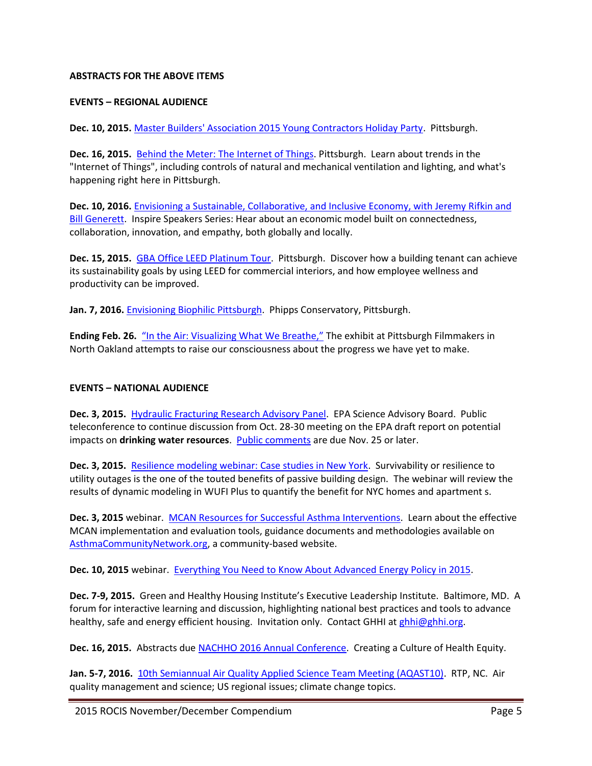## **ABSTRACTS FOR THE ABOVE ITEMS**

### **EVENTS – REGIONAL AUDIENCE**

**Dec. 10, 2015.** [Master Builders' Association 2015 Young Contractors Holiday Party.](http://greenbuildingalliance.cmail19.com/t/r-l-zutkhit-irltfiltt-tk/) Pittsburgh.

**Dec. 16, 2015.** [Behind the Meter: The Internet of Things.](https://www.go-gba.org/event/behind-the-meter-what-the-internet-of-things-means-for-your-building-2/) Pittsburgh. Learn about trends in the "Internet of Things", including controls of natural and mechanical ventilation and lighting, and what's happening right here in Pittsburgh.

**Dec. 10, 2016.** [Envisioning a Sustainable, Collaborative, and Inclusive Economy, with Jeremy Rifkin and](https://www.go-gba.org/event/inspire-speakers-series-and-p4-pittsburgh-present-jeremy-rifkin-and-bill-generett/)  [Bill Generett.](https://www.go-gba.org/event/inspire-speakers-series-and-p4-pittsburgh-present-jeremy-rifkin-and-bill-generett/) Inspire Speakers Series: Hear about an economic model built on connectedness, collaboration, innovation, and empathy, both globally and locally.

**Dec. 15, 2015.** [GBA Office LEED Platinum Tour.](https://www.go-gba.org/events/gba-office-tour-11/?utm_medium=email&utm_campaign=December+1+2015+newsletter&utm_content=December+1+2015+newsletter+CID_ab0bc2a0dd5a5c88cb64f323f21c92f6&utm_source=GBA%20Newsletter&utm_term=Learn%20more%20and%20register) Pittsburgh. Discover how a building tenant can achieve its sustainability goals by using LEED for commercial interiors, and how employee wellness and productivity can be improved.

**Jan. 7, 2016.** Envisioning [Biophilic Pittsburgh.](https://phipps.conservatory.org/green-innovation/in-the-community/biophilia-network) Phipps Conservatory, Pittsburgh.

**Ending Feb. 26.** ["In the Air: Visualizing What We Breathe,"](http://filmmakers.pfpca.org/exhibitions/air-visualizing-what-we-breathe) The exhibit at Pittsburgh Filmmakers in North Oakland attempts to raise our consciousness about the progress we have yet to make.

## **EVENTS – NATIONAL AUDIENCE**

**Dec. 3, 2015.** [Hydraulic Fracturing Research Advisory Panel.](http://yosemite.epa.gov/sab/sabproduct.nsf/a84bfee16cc358ad85256ccd006b0b4b/9ec89b6d7a63d7e385257ef10074acb6!OpenDocument&Date=2015-12-03) EPA Science Advisory Board. Public teleconference to continue discussion from Oct. 28-30 meeting on the EPA draft report on potential impacts on **drinking water resources**. [Public comments](http://www.gpo.gov/fdsys/pkg/FR-2015-11-10/pdf/2015-28663.pdf) are due Nov. 25 or later.

**Dec. 3, 2015.** [Resilience modeling webinar: Case studies in New York.](http://www.phius.org/alliance/news-events/national-events-calendar?url=http://passivehouseallianceus.camp7.org/widget/event-2091767) Survivability or resilience to utility outages is the one of the touted benefits of passive building design. The webinar will review the results of dynamic modeling in WUFI Plus to quantify the benefit for NYC homes and apartment s.

**Dec. 3, 2015** webinar. [MCAN Resources for Successful Asthma Interventions.](http://www.rampasthma.org/archives/13660) Learn about the effective MCAN implementation and evaluation tools, guidance documents and methodologies available on [AsthmaCommunityNetwork.org,](http://r20.rs6.net/tn.jsp?f=001_KTOdDMLM5pyjsuhGQvyDwBQt6eUVZIHT7vuGGar5GTfan6YWzKnjbX2AqzqPyYm0f6NdaAY6vUqmEfMP4u9XdKcCl1lfKlzmZYT_BHt6WMbLwuhfuv9UYlv3PvoOeTqr5TEFfAHI-uHOr0S3PVPcMGqoucBUfhQTX4LTaA8Twy8ntSsc5MSpbo5m82QrsKU&c=A77QW-blX2CnfpzAH1k-G33gxZnNElwAbIj4ihOeOvNFOX5AAC6jkg==&ch=tSaTSH_Jhbu6d9hPuUPH-hKTPPEdoAUz1GHAl5BDVzMTey2FxwUOIA==) a community-based website.

**Dec. 10, 2015** webinar. [Everything You Need to Know About Advanced Energy Policy in 2015.](http://greenbuildingalliance.cmail19.com/t/r-l-zutkhit-irltfiltt-tu/)

**Dec. 7-9, 2015.** Green and Healthy Housing Institute's Executive Leadership Institute. Baltimore, MD. A forum for interactive learning and discussion, highlighting national best practices and tools to advance healthy, safe and energy efficient housing. Invitation only. Contact GHHI at [ghhi@ghhi.org.](mailto:ghhi@ghhi.org)

**Dec. 16, 2015.** Abstracts due [NACHHO 2016 Annual Conference.](http://www.nacchoannual.org/) Creating a Culture of Health Equity.

**Jan. 5-7, 2016.** [10th Semiannual Air Quality Applied Science](http://acmg.seas.harvard.edu/aqast/meetings/2016_jan/program.html) Team Meeting (AQAST10). RTP, NC. Air quality management and science; US regional issues; climate change topics.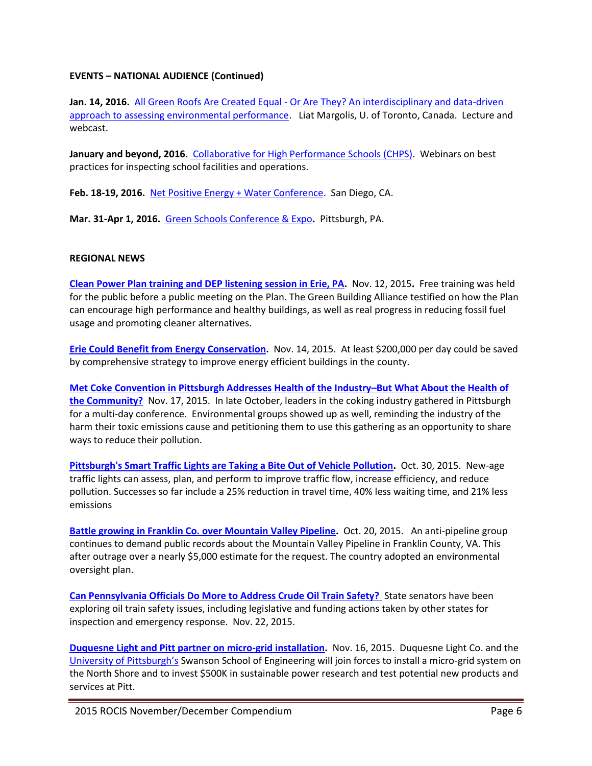### **EVENTS – NATIONAL AUDIENCE (Continued)**

**Jan. 14, 2016.** All Green Roofs Are Created Equal - [Or Are They? An interdisciplinary and data-driven](file:///C:/Users/lwigington/Documents/00_TPF_Outdoor%20Pollutants/2015%20Email%20Blasts/an.%2014,%202016,%20Toronto,%20Canada.%20Â All%20Green%20Roofs%20Are%20Created%20Equal%20-%20Or%20Are%20They)  [approach to assessing environmental performance.](file:///C:/Users/lwigington/Documents/00_TPF_Outdoor%20Pollutants/2015%20Email%20Blasts/an.%2014,%202016,%20Toronto,%20Canada.%20Â All%20Green%20Roofs%20Are%20Created%20Equal%20-%20Or%20Are%20They) Liat Margolis, U. of Toronto, Canada. Lecture and webcast.

**January and beyond, 2016.** [Collaborative for High Performance Schools \(CHPS\).](http://www.chps.net/dev/Drupal/calendar) Webinars on best practices for inspecting school facilities and operations.

**Feb. 18-19, 2016.** [Net Positive Energy + Water Conference.](http://living-future.us3.list-manage1.com/track/click?u=ae827ccb1dcf00c9de58fdb81&id=df912089ce&e=194d961907) San Diego, CA.

**Mar. 31-Apr 1, 2016.** [Green Schools Conference & Expo](file:///C:/Users/lwigington/Documents/00_TPF_Outdoor%20Pollutants/2015%20Email%20Blasts/Green%20Schools%20Conference%20&%20Expo%20Thursday,%20March%2031,%202016%20(All%20day)%20-%20Friday,%20April%201,%202016%20(All%20day)%20%20March%2031-April%201,%202016%20Pittsburgh,%20PA)**.** Pittsburgh, PA.

### **REGIONAL NEWS**

**[Clean Power Plan training and DEP listening session in Erie, PA.](http://pfclimate.blogspot.com/2015/11/spotlight-erie-pa-clean-power-plan.html)** Nov. 12, 2015**.** Free training was held for the public before a public meeting on the Plan. The Green Building Alliance testified on how the Plan can encourage high performance and healthy buildings, as well as real progress in reducing fossil fuel usage and promoting cleaner alternatives.

**[Erie Could Benefit from Energy Conservation.](http://www.goerie.com/erie-could-benefit-from-energy-conservation-guy-mcumber)** Nov. 14, 2015. At least \$200,000 per day could be saved by comprehensive strategy to improve energy efficient buildings in the county.

**[Met Coke Convention in Pittsburgh Addresses Health of the Industry](http://gasp-pgh.org/2015/11/13/met-coke-convention-in-pittsburgh-addresses-health-of-the-industry-but-what-about-the-health-of-the-community/)–But What About the Health of [the Community?](http://gasp-pgh.org/2015/11/13/met-coke-convention-in-pittsburgh-addresses-health-of-the-industry-but-what-about-the-health-of-the-community/)** Nov. 17, 2015. In late October, leaders in the coking industry gathered in Pittsburgh for a multi-day conference. Environmental groups showed up as well, reminding the industry of the harm their toxic emissions cause and petitioning them to use this gathering as an opportunity to share ways to reduce their pollution.

**[Pittsburgh's Smart Traffic Lights are Taking a Bite Out of Vehicle Pollution.](http://alleghenyfront.org/story/pittsburgh%E2%80%99s-smart-traffic-lights-are-taking-bite-out-vehicle-pollution)** Oct. 30, 2015. New-age traffic lights can assess, plan, and perform to improve traffic flow, increase efficiency, and reduce pollution. Successes so far include a 25% reduction in travel time, 40% less waiting time, and 21% less emissions

**[Battle growing in Franklin Co. over Mountain Valley Pipeline.](http://www.wdbj7.com/video/battle-growing-in-franklin-co-over-mountain-valley-pipeline/35949432)** Oct. 20, 2015. An anti-pipeline group continues to demand public records about the Mountain Valley Pipeline in Franklin County, VA. This after outrage over a nearly \$5,000 estimate for the request. The country adopted an environmental oversight plan.

**[Can Pennsylvania Officials Do More to Address Crude Oil Train Safety?](http://alleghenyfront.org/story/can-pennsylvania-officials-do-more-address-crude-oil-train-safety)** State senators have been exploring oil train safety issues, including legislative and funding actions taken by other states for inspection and emergency response. Nov. 22, 2015.

**[Duquesne Light and Pitt partner on micro-grid installation.](http://www.bizjournals.com/pittsburgh/news/2015/11/16/duquesne-light-pitt-partner-on-micro-grid.html?ana=e_du_pub&s=article_du&ed=2015-11-16&u=a06L9etr7RcK8rYcf94yvQ0d740eb4&t=1447705608)** Nov. 16, 2015. Duquesne Light Co. and the [University of Pittsburgh's](http://www.bizjournals.com/profiles/company/us/pa/pittsburgh/university_of_pittsburgh/3237169) Swanson School of Engineering will join forces to install a micro-grid system on the North Shore and to invest \$500K in sustainable power research and test potential new products and services at Pitt.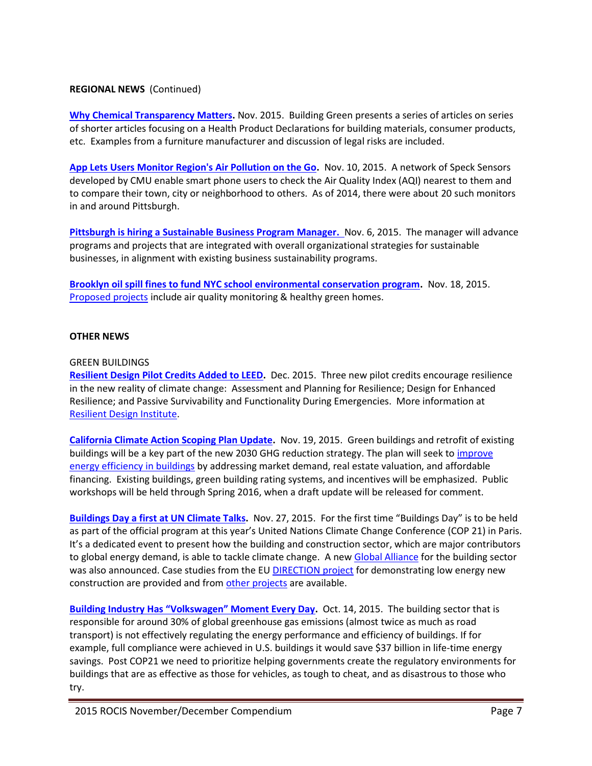### **REGIONAL NEWS** (Continued)

**[Why Chemical Transparency Matters.](https://www2.buildinggreen.com/article/why-chemical-transparency-matters)** Nov. 2015. Building Green presents a series of articles on series of shorter articles focusing on a Health Product Declarations for building materials, consumer products, etc. Examples from a furniture manufacturer and discussion of legal risks are included.

**[App Lets Users Monitor Region's Air Pollution on the Go.](http://www.nextpittsburgh.com/city-design/creators-of-the-specksensor-app-want-pittsburgh-to-breathe-easier/)** Nov. 10, 2015. A network of Speck Sensors developed by CMU enable smart phone users to check the Air Quality Index (AQI) nearest to them and to compare their town, city or neighborhood to others. As of 2014, there were about 20 such monitors in and around Pittsburgh.

**[Pittsburgh is hiring a Sustainable Business Program Manager.](http://sustainablepittsburgh.org/Pub/Job%20Description%20-%20Sustainable%20Business%20Program%20Manager%20-%20Sustainable%20Pittsburgh.pdf)** Nov. 6, 2015. The manager will advance programs and projects that are integrated with overall organizational strategies for sustainable businesses, in alignment with existing business sustainability programs.

**[Brooklyn oil spill fines to fund NYC school environmental conservation program.](file:///C:/Users/lwigington/Documents/00_TPF_Outdoor%20Pollutants/2015%20Email%20Blasts/Brooklyn%20oil%20spill%20fines%20to%20fund%20NYC%20school%20environmental%20conservation%20program)** Nov. 18, 2015. [Proposed projects](http://gcefund.org/wp-content/uploads/2015/11/015-Large-and-Legacy-Projects_Preferencing_Descriptions.FINAL_.pdf) include air quality monitoring & healthy green homes.

## **OTHER NEWS**

### GREEN BUILDINGS

**[Resilient Design Pilot Credits Added to LEED.](https://www2.buildinggreen.com/article/resilient-design-pilot-credits-added-leed)** Dec. 2015. Three new pilot credits encourage resilience in the new reality of climate change: Assessment and Planning for Resilience; Design for Enhanced Resilience; and Passive Survivability and Functionality During Emergencies. More information at [Resilient Design Institute.](http://www.resilientdesign.org/leed-pilot-credits-on-resilient-design-adopted/)

**[California Climate Action Scoping Plan Update.](http://www.arb.ca.gov/board/books/2015/111915/15-9-5pres.pdf)** Nov. 19, 2015. Green buildings and retrofit of existing buildings will be a key part of the new 2030 GHG reduction strategy. The plan will seek to [improve](http://www.arb.ca.gov/cc/scopingplan/meetings/10_1_15slides/2015slides.pdf)  [energy efficiency in buildings](http://www.arb.ca.gov/cc/scopingplan/meetings/10_1_15slides/2015slides.pdf) by addressing market demand, real estate valuation, and affordable financing. Existing buildings, green building rating systems, and incentives will be emphasized. Public workshops will be held through Spring 2016, when a draft update will be released for comment.

**[Buildings Day a first at UN Climate Talks.](http://www.gbpn.org/china/newsroom/event-buildings-day-be-held-cop21-paris)** Nov. 27, 2015. For the first time "Buildings Day" is to be held as part of the official program at this year's United Nations Climate Change Conference (COP 21) in Paris. It's a dedicated event to present how the building and construction sector, which are major contributors to global energy demand, is able to tackle climate change. A ne[w Global Alliance](http://newsroom.unfccc.int/lpaa/building/global-alliance-for-buildings-and-construction/) for the building sector was also announced. Case studies from the EU [DIRECTION project](http://www.direction-fp7.eu/) for demonstrating low energy new construction are provided and from [other projects](http://drustage.unep.org/climatechange/buildingsday/media-centre/case-studies) are available.

**Buil[ding Industry Has "Volkswagen" Moment Every Day](http://www.gbpn.org/our-blog/building-sector%E2%80%99s-continuous-%E2%80%98volkswagen%E2%80%99-moment).** Oct. 14, 2015. The building sector that is responsible for around 30% of global greenhouse gas emissions (almost twice as much as road transport) is not effectively regulating the energy performance and efficiency of buildings. If for example, full compliance were achieved in U.S. buildings it would save \$37 billion in life-time energy savings. Post COP21 we need to prioritize helping governments create the regulatory environments for buildings that are as effective as those for vehicles, as tough to cheat, and as disastrous to those who try.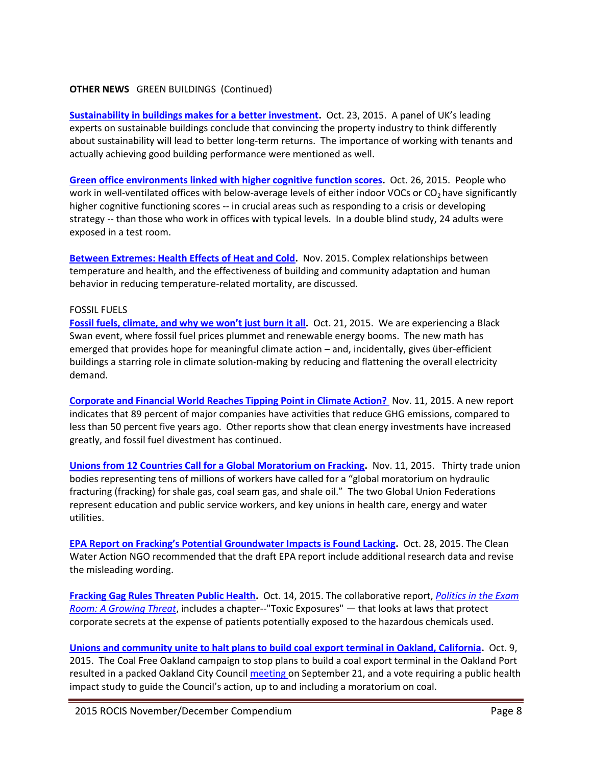### **OTHER NEWS** GREEN BUILDINGS (Continued)

**[Sustainability in buildings makes for a better investment.](http://m.propertyweek.com/in-depth/analysis-features/sustainability-in-buildings-makes-for-a-better-investment/5077368.article)** Oct. 23, 2015. A panel of UK's leading experts on sustainable buildings conclude that convincing the property industry to think differently about sustainability will lead to better long-term returns. The importance of working with tenants and actually achieving good building performance were mentioned as well.

**[Green office environments linked with higher cognitive function scores.](http://www.sciencedaily.com/releases/2015/10/151026171409.htm)** Oct. 26, 2015. People who work in well-ventilated offices with below-average levels of either indoor VOCs or  $CO<sub>2</sub>$  have significantly higher cognitive functioning scores -- in crucial areas such as responding to a crisis or developing strategy -- than those who work in offices with typical levels. In a double blind study, 24 adults were exposed in a test room.

**[Between Extremes: Health Effects of Heat and Cold.](http://ehp.niehs.nih.gov/123-A275/)** Nov. 2015. Complex relationships between temperature and health, and the effectiveness of building and community adaptation and human behavior in reducing temperature-related mortality, are discussed.

#### FOSSIL FUELS

**[Fossil fuels, climate, and why we won't just burn it all](http://hammerandhand.com/field-notes/fossil-fuels-climate-and-why-we-wont-just-burn-it-all/?mc_cid=d16ed2105d&mc_eid=ab9858fd20).** Oct. 21, 2015. We are experiencing a Black Swan event, where fossil fuel prices plummet and renewable energy booms. The new math has emerged that provides hope for meaningful climate action – and, incidentally, gives über-efficient buildings a starring role in climate solution-making by reducing and flattening the overall electricity demand.

**[Corporate and Financial World Reaches Tipping Point in Climate Action?](http://www.greenbiz.com/article/tipping-point-business-action-moves-past-climate-list)** Nov. 11, 2015. A new report indicates that 89 percent of major companies have activities that reduce GHG emissions, compared to less than 50 percent five years ago. Other reports show that clean energy investments have increased greatly, and fossil fuel divestment has continued.

**[Unions from 12 Countries Call for a Global Moratorium on Fracking.](http://unionsforenergydemocracy.org/unions-from-12-countries-call-for-a-global-moratorium-on-fracking/)** Nov. 11, 2015. Thirty trade union bodies representing tens of millions of workers have called for a "global moratorium on hydraulic fracturing (fracking) for shale gas, coal seam gas, and shale oil." The two Global Union Federations represent education and public service workers, and key unions in health care, energy and water utilities.

**[EPA Report on Fracking's Potential Groundwater Impacts is Found Lacking](http://cleanwateraction.org/publication/statement-us-epa-sab-panel-review-draft-potential-impacts-hydraulic-fracturing-oil-and-g).** Oct. 28, 2015. The Clean Water Action NGO recommended that the draft EPA report include additional research data and revise the misleading wording.

**[Fracking Gag Rules Threaten Public Health.](http://switchboard.nrdc.org/blogs/mrotkinellman/toxic_secrets_new_report_shows_3.html)** Oct. 14, 2015. The collaborative report, *[Politics in the Exam](http://www.nationalpartnership.org/research-library/repro/politics-in-the-exam-room-a-growing-threat.pdf)  [Room: A Growing Threat](http://www.nationalpartnership.org/research-library/repro/politics-in-the-exam-room-a-growing-threat.pdf)*, includes a chapter--"Toxic Exposures" — that looks at laws that protect corporate secrets at the expense of patients potentially exposed to the hazardous chemicals used.

**[Unions and community unite to halt plans to build coal export terminal in Oakland, California.](http://unionsforenergydemocracy.org/unprecedented-unions-and-community-unite-to-halt-plans-to-build-coal-export-terminal-in-oakland-california/)** Oct. 9, 2015. The Coal Free Oakland campaign to stop plans to build a coal export terminal in the Oakland Port resulted in a packed Oakland City Counci[l meeting o](http://www.eastbayexpress.com/SevenDays/archives/2015/09/21/live-oakland-city-council-hearing-on-coal)n September 21, and a vote requiring a public health impact study to guide the Council's action, up to and including a moratorium on coal.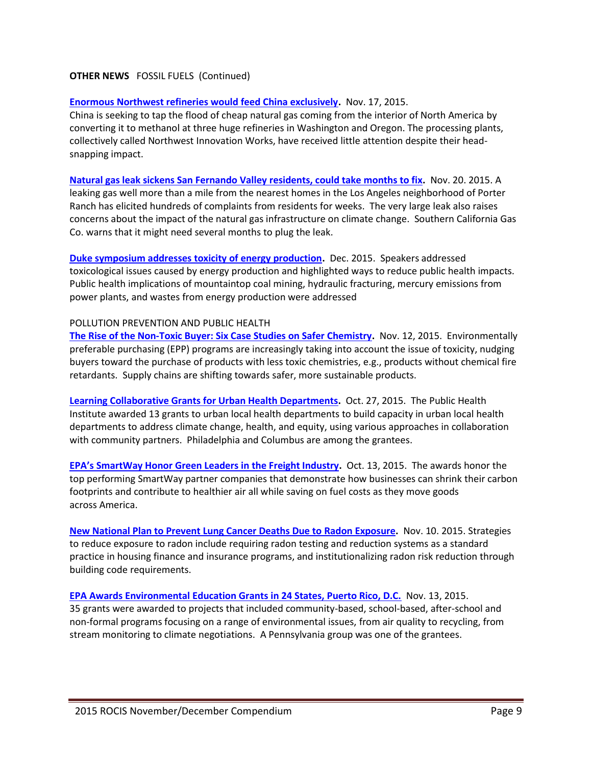## **OTHER NEWS** FOSSIL FUELS (Continued)

#### **[Enormous Northwest refineries would feed China exclusively.](http://www.eenews.net/stories/1060028071)** Nov. 17, 2015.

China is seeking to tap the flood of cheap natural gas coming from the interior of North America by converting it to methanol at three huge refineries in Washington and Oregon. The processing plants, collectively called Northwest Innovation Works, have received little attention despite their headsnapping impact.

**[Natural gas leak sickens San Fernando Valley residents, could take months to fix.](http://www.latimes.com/local/california/la-me-1121-gas-leak-20151121-story.html)** Nov. 20. 2015. A leaking gas well more than a mile from the nearest homes in the Los Angeles neighborhood of Porter Ranch has elicited hundreds of complaints from residents for weeks. The very large leak also raises concerns about the impact of the natural gas infrastructure on climate change. Southern California Gas Co. warns that it might need several months to plug the leak.

**[Duke symposium addresses toxicity of energy production.](http://www.niehs.nih.gov/news/newsletter/2015/12/spotlight-power/index.htm)** Dec. 2015. Speakers addressed toxicological issues caused by energy production and highlighted ways to reduce public health impacts. Public health implications of mountaintop coal mining, hydraulic fracturing, mercury emissions from power plants, and wastes from energy production were addressed

#### POLLUTION PREVENTION AND PUBLIC HEALTH

**[The Rise of the Non-Toxic Buyer: Six Case Studies on Safer Chemistry.](http://www.greenbiz.com/article/rise-non-toxic-buyer-6-case-studies-safer-chemistry)** Nov. 12, 2015. Environmentally preferable purchasing (EPP) programs are increasingly taking into account the issue of toxicity, nudging buyers toward the purchase of products with less toxic chemistries, e.g., products without chemical fire retardants. Supply chains are shifting towards safer, more sustainable products.

**[Learning Collaborative Grants for Urban Health Departments.](http://www.phi.org/news-events/838/phis-center-for-climate-change-and-health-announces-learning-collaborative-for-urban-health-departments?utm_source=PHI+Newsletter&utm_campaign=72b0c57b73-Nov_2015_external_newsletter&utm_medium=email&utm_term=0_14767b3be6-72b0c57b73-23389233)** Oct. 27, 2015. The Public Health Institute awarded 13 grants to urban local health departments to build capacity in urban local health departments to address climate change, health, and equity, using various approaches in collaboration with community partners. Philadelphia and Columbus are among the grantees.

**EPA's SmartWay Honor [Green Leaders in the Freight Industry.](http://yosemite.epa.gov/opa/admpress.nsf/bd4379a92ceceeac8525735900400c27/c67bb07fbf81d12785257edd00626381%21OpenDocument)** Oct. 13, 2015. The awards honor the top performing SmartWay partner companies that demonstrate how businesses can shrink their carbon footprints and contribute to healthier air all while saving on fuel costs as they move goods across America.

**[New National Plan to Prevent Lung Cancer Deaths Due to Radon Exposure.](http://yosemite.epa.gov/opa/admpress.nsf/bd4379a92ceceeac8525735900400c27/ed446d1cb1bed80685257ef90055f556%21OpenDocument)** Nov. 10. 2015. Strategies to reduce exposure to radon include requiring radon testing and reduction systems as a standard practice in housing finance and insurance programs, and institutionalizing radon risk reduction through building code requirements.

**[EPA Awards Environmental Education Grants in 24 States, Puerto Rico, D.C.](http://yosemite.epa.gov/opa/admpress.nsf/bd4379a92ceceeac8525735900400c27/814b99dbeee69f2085257ef90059624e%21OpenDocument)** Nov. 13, 2015. 35 grants were awarded to projects that included community-based, school-based, after-school and non-formal programs focusing on a range of environmental issues, from air quality to recycling, from stream monitoring to climate negotiations. A Pennsylvania group was one of the grantees.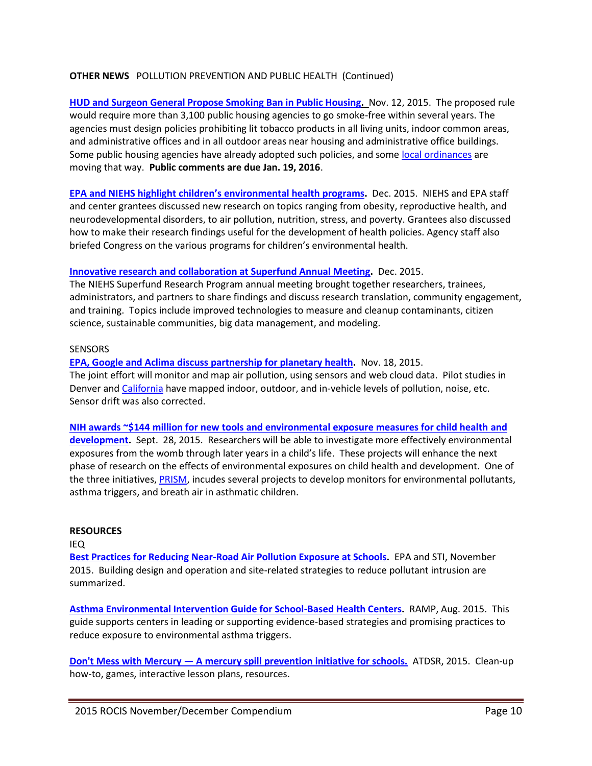## **OTHER NEWS** POLLUTION PREVENTION AND PUBLIC HEALTH (Continued)

**[HUD and Surgeon General Propose Smoking Ban in Public Housing.](https://www.washingtonpost.com/news/federal-eye/wp/2015/11/12/hud-proposes-smoking-ban-in-public-housing-citing-dangers-of-secondhand-smoke/)** Nov. 12, 2015. The proposed rule would require more than 3,100 public housing agencies to go smoke-free within several years. The agencies must design policies prohibiting lit tobacco products in all living units, indoor common areas, and administrative offices and in all outdoor areas near housing and administrative office buildings. Some public housing agencies have already adopted such policies, and som[e local ordinances](http://center4tobaccopolicy.org/tobacco-policy/smokefree-multi-unit-housing/) are moving that way. **Public comments are due Jan. 19, 2016**.

**[EPA and NIEHS highlight children's](http://www.niehs.nih.gov/news/newsletter/2015/12/spotlight-children/index.htm) environmental health programs.** Dec. 2015. NIEHS and EPA staff and center grantees discussed new research on topics ranging from obesity, reproductive health, and neurodevelopmental disorders, to air pollution, nutrition, stress, and poverty. Grantees also discussed how to make their research findings useful for the development of health policies. Agency staff also briefed Congress on the various programs for children's environmental health.

### **[Innovative research and collaboration at Superfund Annual Meeting.](http://www.niehs.nih.gov/news/newsletter/2015/12/spotlight-srp/index.htm)** Dec. 2015.

The NIEHS Superfund Research Program annual meeting brought together researchers, trainees, administrators, and partners to share findings and discuss research translation, community engagement, and training. Topics include improved technologies to measure and cleanup contaminants, citizen science, sustainable communities, big data management, and modeling.

#### **SENSORS**

**[EPA, Google and Aclima discuss partnership for planetary health.](http://aclima.io/blog/posts/aclima-google-and-the-epa-discuss-their-partnership-for-planetary-health/)** Nov. 18, 2015.

The joint effort will monitor and map air pollution, using sensors and web cloud data. Pilot studies in Denver and [California](http://aclima.io/blog/posts/explore-the-power-of-feedback-loops-with-aclimas-chief-creative-officer-reuben-herzl/) have mapped indoor, outdoor, and in-vehicle levels of pollution, noise, etc. Sensor drift was also corrected.

**[NIH awards ~\\$144 million for new tools and environmental exposure measures for child health and](http://www.nih.gov/news-events/news-releases/nih-awards-144-million-research-environmental-influences-child-health-development)  [development.](http://www.nih.gov/news-events/news-releases/nih-awards-144-million-research-environmental-influences-child-health-development)** Sept. 28, 2015. Researchers will be able to investigate more effectively environmental exposures from the womb through later years in a child's life. These projects will enhance the next phase of research on the effects of environmental exposures on child health and development. One of the three initiatives[, PRISM,](http://www.nibib.nih.gov/research-funding/prisms) incudes several projects to develop monitors for environmental pollutants, asthma triggers, and breath air in asthmatic children.

#### **RESOURCES**

IEQ

**[Best Practices for Reducing Near-Road Air Pollution Exposure at Schools.](http://epaschools-stage.icfwebservices.com/guidelinestools/best-practices.html)** EPA and STI, November 2015. Building design and operation and site-related strategies to reduce pollutant intrusion are summarized.

**[Asthma Environmental Intervention Guide for School-Based Health Centers.](http://scgcorp.us11.list-manage.com/track/click?u=3e74a2e826c353dfd8c723807&id=ffc4182ac7&e=4ff2f19cc5)** RAMP, Aug. 2015. This guide supports centers in leading or supporting evidence-based strategies and promising practices to reduce exposure to environmental asthma triggers.

**Don't Mess with Mercury — [A mercury spill prevention initiative for schools.](http://www.atsdr.cdc.gov/dontmesswithmercury/index.html)** ATDSR, 2015. Clean-up how-to, games, interactive lesson plans, resources.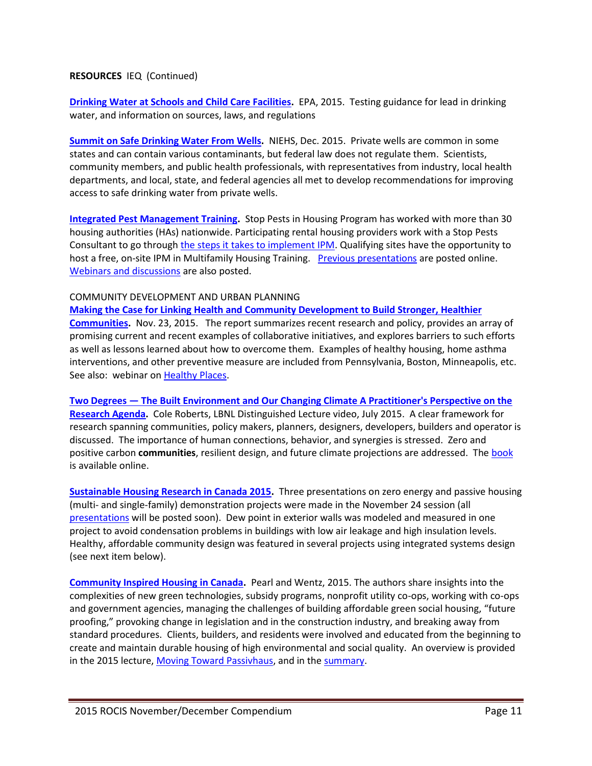### **RESOURCES** IEQ (Continued)

**[Drinking Water at Schools and Child Care Facilities.](http://www2.epa.gov/dwreginfo/drinking-water-schools-and-child-care-facilities)** EPA, 2015. Testing guidance for lead in drinking water, and information on sources, laws, and regulations

**[Summit on Safe Drinking Water From Wells.](http://www.niehs.nih.gov/news/newsletter/2015/12/spotlight-water/index.htm)** NIEHS, Dec. 2015. Private wells are common in some states and can contain various contaminants, but federal law does not regulate them. Scientists, community members, and public health professionals, with representatives from industry, local health departments, and local, state, and federal agencies all met to develop recommendations for improving access to safe drinking water from private wells.

**[Integrated Pest Management Training.](http://www.stoppests.org/about-us/participating-housing-providers/)** Stop Pests in Housing Program has worked with more than 30 housing authorities (HAs) nationwide. Participating rental housing providers work with a Stop Pests Consultant to go throug[h the steps it takes to implement IPM.](http://www.stoppests.org/stoppests/assets/File/StopPests%20Process.pdf) Qualifying sites have the opportunity to host a free, on-site IPM in Multifamily Housing Training. [Previous presentations](http://www.stoppests.org/about-us/conference-presentations/) are posted online. [Webinars and discussions](http://stoppests.typepad.com/) are also posted.

#### COMMUNITY DEVELOPMENT AND URBAN PLANNING

**[Making the Case for Linking Health and Community Development to Build Stronger, Healthier](file:///C:/Users/lwigington/Documents/00_TPF_Outdoor%20Pollutants/2015%20Email%20Blasts/Making%20the%20Case%20summarizes%20recent%20research%20and%20policy,%20provides%20an%20array%20of%20promising%20current%20and%20recent%20examples%20of%20collaborative%20initiatives,%20and%20explores%20barriers%20to%20such%20efforts%20as%20well%20as%20lessons%20learned%20about%20how%20to%20overcome%20them.)  [Communities.](file:///C:/Users/lwigington/Documents/00_TPF_Outdoor%20Pollutants/2015%20Email%20Blasts/Making%20the%20Case%20summarizes%20recent%20research%20and%20policy,%20provides%20an%20array%20of%20promising%20current%20and%20recent%20examples%20of%20collaborative%20initiatives,%20and%20explores%20barriers%20to%20such%20efforts%20as%20well%20as%20lessons%20learned%20about%20how%20to%20overcome%20them.)** Nov. 23, 2015. The report summarizes recent research and policy, provides an array of promising current and recent examples of collaborative initiatives, and explores barriers to such efforts as well as lessons learned about how to overcome them. Examples of healthy housing, home asthma interventions, and other preventive measure are included from Pennsylvania, Boston, Minneapolis, etc. See also: webinar o[n Healthy Places.](http://www.buildhealthyplaces.org/for-these-doctors-health-is-more-than-just-providing-medical-care/)

**Two Degrees — [The Built Environment and Our Changing Climate A Practitioner's Perspective on the](http://eetd.lbl.gov/video/60117/eta-distinguished-lecture-two-degrees-)  [Research Agenda.](http://eetd.lbl.gov/video/60117/eta-distinguished-lecture-two-degrees-)** Cole Roberts, LBNL Distinguished Lecture video, July 2015. A clear framework for research spanning communities, policy makers, planners, designers, developers, builders and operator is discussed. The importance of human connections, behavior, and synergies is stressed. Zero and positive carbon **communities**, resilient design, and future climate projections are addressed. The [book](http://www.amazon.com/Two-Degrees-Environment-Changing-Climate/dp/0415693004) is available online.

**[Sustainable Housing Research in Canada 2015.](http://www1.webcastcanada.ca/nhrc-cnrl/agenda-eng.pdf)** Three presentations on zero energy and passive housing (multi- and single-family) demonstration projects were made in the November 24 session (all [presentations](http://nhrc-cnrl.ca/meeting/current/sustainable-wg) will be posted soon). Dew point in exterior walls was modeled and measured in one project to avoid condensation problems in buildings with low air leakage and high insulation levels. Healthy, affordable community design was featured in several projects using integrated systems design (see next item below).

**[Community Inspired Housing in Canada.](http://www.loeuf.com/wp-content/uploads/2014/09/CommunityHousingCanada-lowres.pdf)** Pearl and Wentz, 2015. The authors share insights into the complexities of new green technologies, subsidy programs, nonprofit utility co-ops, working with co-ops and government agencies, managing the challenges of building affordable green social housing, "future proofing," provoking change in legislation and in the construction industry, and breaking away from standard procedures. Clients, builders, and residents were involved and educated from the beginning to create and maintain durable housing of high environmental and social quality. An overview is provided in the 2015 lecture[, Moving Toward Passivhaus,](https://www.youtube.com/watch?v=UH0xL_GKms4) and in the [summary.](https://www.canadianarchitect.com/architecture/daniel-pearl-moving-towards-passivhaus/1003427932/)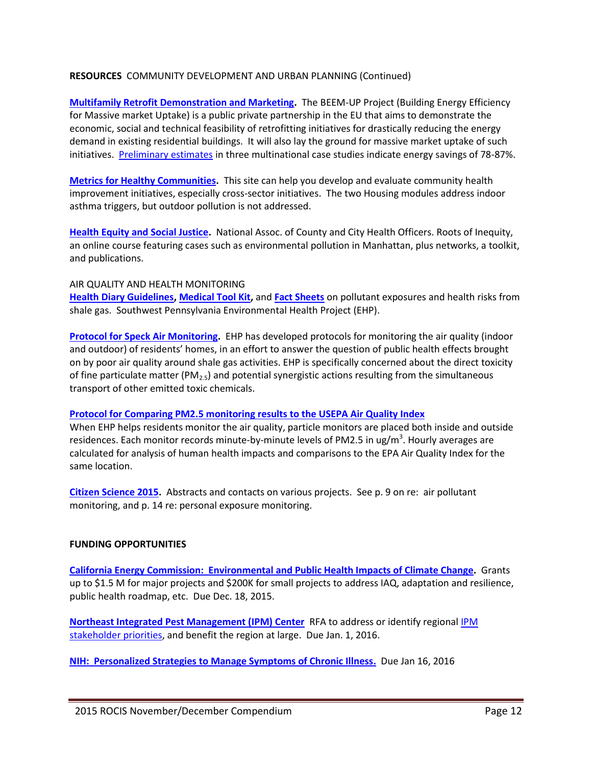## **RESOURCES** COMMUNITY DEVELOPMENT AND URBAN PLANNING (Continued)

**[Multifamily Retrofit Demonstration and Marketing.](http://www.beem-up.eu/index.php)** The BEEM-UP Project (Building Energy Efficiency for Massive market Uptake) is a public private partnership in the EU that aims to demonstrate the economic, social and technical feasibility of retrofitting initiatives for drastically reducing the energy demand in existing residential buildings. It will also lay the ground for massive market uptake of such initiatives. [Preliminary estimates](http://www.beem-up.eu/documents/BEEMUPPosterSB13%20Graz_v1_2.pdf) in three multinational case studies indicate energy savings of 78-87%.

**[Metrics for Healthy Communities.](http://metricsforhealthycommunities.org/)** This site can help you develop and evaluate community health improvement initiatives, especially cross-sector initiatives. The two Housing modules address indoor asthma triggers, but outdoor pollution is not addressed.

**[Health Equity and Social Justice.](http://naccho.org/topics/justice/)** National Assoc. of County and City Health Officers. Roots of Inequity, an online course featuring cases such as environmental pollution in Manhattan, plus networks, a toolkit, and publications.

### AIR QUALITY AND HEALTH MONITORING

**[Health Diary Guidelines,](http://www.environmentalhealthproject.org/health/health-diary/) [Medical Tool Kit,](http://www.environmentalhealthproject.org/resources/medical-resources/)** and **[Fact Sheets](http://www.environmentalhealthproject.org/resources/handouts-and-factsheets/)** on pollutant exposures and health risks from shale gas. Southwest Pennsylvania Environmental Health Project (EHP).

**[Protocol for Speck Air Monitoring.](http://www.environmentalhealthproject.org/wp-content/uploads/2015/06/Protocol-for-Speck-monitoring.pdf)** EHP has developed protocols for monitoring the air quality (indoor and outdoor) of residents' homes, in an effort to answer the question of public health effects brought on by poor air quality around shale gas activities. EHP is specifically concerned about the direct toxicity of fine particulate matter (PM<sub>2.5</sub>) and potential synergistic actions resulting from the simultaneous transport of other emitted toxic chemicals.

#### **[Protocol for Comparing PM2.5 monitoring results](http://www.environmentalhealthproject.org/wp-content/uploads/2015/07/AQI-protocol-doc.7.24.2015.pdf) to the USEPA Air Quality Index**

When EHP helps residents monitor the air quality, particle monitors are placed both inside and outside residences. Each monitor records minute-by-minute levels of PM2.5 in ug/m<sup>3</sup>. Hourly averages are calculated for analysis of human health impacts and comparisons to the EPA Air Quality Index for the same location.

**[Citizen Science 2015.](https://citizenscienceassociation.files.wordpress.com/2015/02/program-cs2015-day12-8feb15.pdf)** Abstracts and contacts on various projects. See p. 9 on re: air pollutant monitoring, and p. 14 re: personal exposure monitoring.

### **FUNDING OPPORTUNITIES**

**[California Energy Commission: Environmental and Public Health Impacts of Climate Change.](http://www.energy.ca.gov/contracts/GFO-15-309/)** Grants up to \$1.5 M for major projects and \$200K for small projects to address IAQ, adaptation and resilience, public health roadmap, etc. Due Dec. 18, 2015.

**[Northeast Integrated Pest Management \(IPM\) Center](http://www.northeastipm.org/grant-programs/ipm-center-grants/ipm-partnership-grants/)** RFA to address or identify regiona[l IPM](http://www.northeastipm.org/grant-programs/stakeholder-priorities/)  [stakeholder priorities,](http://www.northeastipm.org/grant-programs/stakeholder-priorities/) and benefit the region at large. Due Jan. 1, 2016.

**[NIH: Personalized Strategies to Manage Symptoms of Chronic Illness.](http://click.icptrack.com/icp/relay.php?r=51461836&msgid=629353&act=YX97&c=575009&destination=http%3A%2F%2Fwww.rampasthma.org%2Farchives%2F13624)** Due Jan 16, 2016